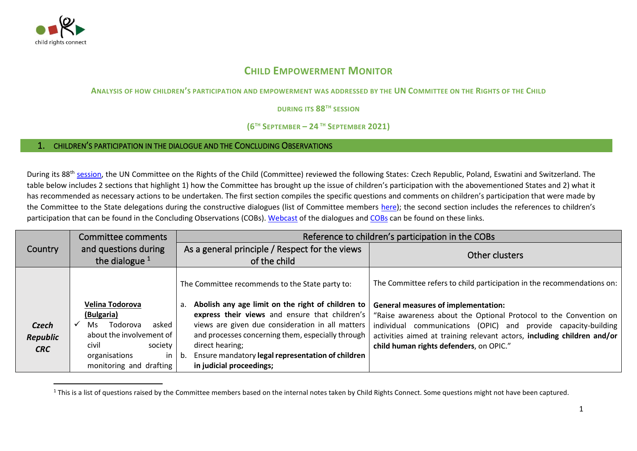

## **CHILD EMPOWERMENT MONITOR**

## **ANALYSIS OF HOW CHILDREN'S PARTICIPATION AND EMPOWERMENT WAS ADDRESSED BY THE UN COMMITTEE ON THE RIGHTS OF THE CHILD**

**DURING ITS 88TH SESSION** 

## **(6 TH SEPTEMBER – 24 TH SEPTEMBER 2021)**

## 1. CHILDREN'S PARTICIPATION IN THE DIALOGUE AND THE CONCLUDING OBSERVATIONS

During its 88<sup>th</sup> [session,](https://tbinternet.ohchr.org/_layouts/15/treatybodyexternal/SessionDetails1.aspx?SessionID=1351&Lang=en) the UN Committee on the Rights of the Child (Committee) reviewed the following States: Czech Republic, Poland, Eswatini and Switzerland. The table below includes 2 sections that highlight 1) how the Committee has brought up the issue of children's participation with the abovementioned States and 2) what it has recommended as necessary actions to be undertaken. The first section compiles the specific questions and comments on children's participation that were made by the Committee to the State delegations during the constructive dialogues (list of Committee members [here](http://www.ohchr.org/EN/HRBodies/CRC/Pages/Membership.aspx)); the second section includes the references to children's participation that can be found in the Concluding Observations (COBs). [Webcast](https://media.un.org/en/search/?&q=&filter-status=On+Demand&sort-by=date_desc) of the dialogues and [COBs](https://tbinternet.ohchr.org/_layouts/15/treatybodyexternal/SessionDetails1.aspx?SessionID=1351&Lang=en) can be found on these links.

|                | <b>Committee comments</b> | Reference to children's participation in the COBs       |                                                                         |
|----------------|---------------------------|---------------------------------------------------------|-------------------------------------------------------------------------|
| <b>Country</b> | and questions during      | As a general principle / Respect for the views          | Other clusters                                                          |
|                | the dialogue $1$          | of the child                                            |                                                                         |
|                |                           | The Committee recommends to the State party to:         | The Committee refers to child participation in the recommendations on:  |
|                | Velina Todorova           | Abolish any age limit on the right of children to<br>a. | <b>General measures of implementation:</b>                              |
|                | (Bulgaria)                | express their views and ensure that children's          | "Raise awareness about the Optional Protocol to the Convention on       |
| <b>Czech</b>   | Todorova<br>asked<br>Ms.  | views are given due consideration in all matters        | individual communications (OPIC) and provide capacity-building          |
| Republic       | about the involvement of  | and processes concerning them, especially through       | activities aimed at training relevant actors, including children and/or |
| <b>CRC</b>     | civil<br>society          | direct hearing;                                         | child human rights defenders, on OPIC."                                 |
|                | organisations<br>in.      | Ensure mandatory legal representation of children<br>b. |                                                                         |
|                | monitoring and drafting   | in judicial proceedings;                                |                                                                         |

<sup>&</sup>lt;sup>1</sup> This is a list of questions raised by the Committee members based on the internal notes taken by Child Rights Connect. Some questions might not have been captured.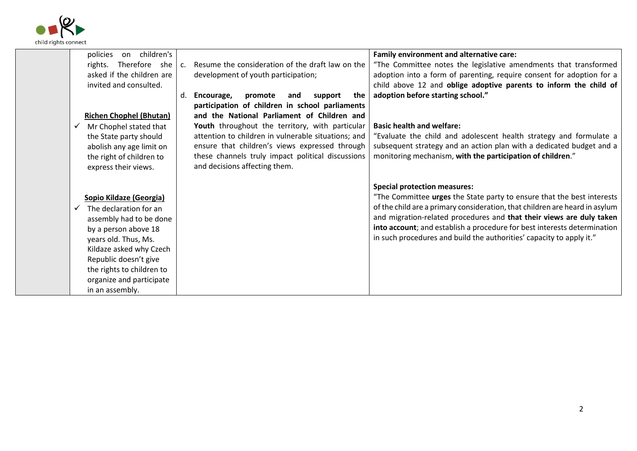

|  | on children's<br>policies      |                |                                                     | Family environment and alternative care:                                    |
|--|--------------------------------|----------------|-----------------------------------------------------|-----------------------------------------------------------------------------|
|  | Therefore she<br>rights.       | $\mathsf{C}$ . | Resume the consideration of the draft law on the    | "The Committee notes the legislative amendments that transformed            |
|  | asked if the children are      |                | development of youth participation;                 | adoption into a form of parenting, require consent for adoption for a       |
|  | invited and consulted.         |                |                                                     | child above 12 and oblige adoptive parents to inform the child of           |
|  |                                | d.             | Encourage,<br>promote<br>and<br>support<br>the      | adoption before starting school."                                           |
|  |                                |                | participation of children in school parliaments     |                                                                             |
|  | <b>Richen Chophel (Bhutan)</b> |                | and the National Parliament of Children and         |                                                                             |
|  | Mr Chophel stated that         |                | Youth throughout the territory, with particular     | <b>Basic health and welfare:</b>                                            |
|  | the State party should         |                | attention to children in vulnerable situations; and | "Evaluate the child and adolescent health strategy and formulate a          |
|  | abolish any age limit on       |                | ensure that children's views expressed through      | subsequent strategy and an action plan with a dedicated budget and a        |
|  | the right of children to       |                | these channels truly impact political discussions   | monitoring mechanism, with the participation of children."                  |
|  | express their views.           |                | and decisions affecting them.                       |                                                                             |
|  |                                |                |                                                     |                                                                             |
|  |                                |                |                                                     | <b>Special protection measures:</b>                                         |
|  | Sopio Kildaze (Georgia)        |                |                                                     | "The Committee urges the State party to ensure that the best interests      |
|  | The declaration for an         |                |                                                     | of the child are a primary consideration, that children are heard in asylum |
|  | assembly had to be done        |                |                                                     | and migration-related procedures and that their views are duly taken        |
|  | by a person above 18           |                |                                                     | into account; and establish a procedure for best interests determination    |
|  | years old. Thus, Ms.           |                |                                                     | in such procedures and build the authorities' capacity to apply it."        |
|  | Kildaze asked why Czech        |                |                                                     |                                                                             |
|  | Republic doesn't give          |                |                                                     |                                                                             |
|  | the rights to children to      |                |                                                     |                                                                             |
|  | organize and participate       |                |                                                     |                                                                             |
|  | in an assembly.                |                |                                                     |                                                                             |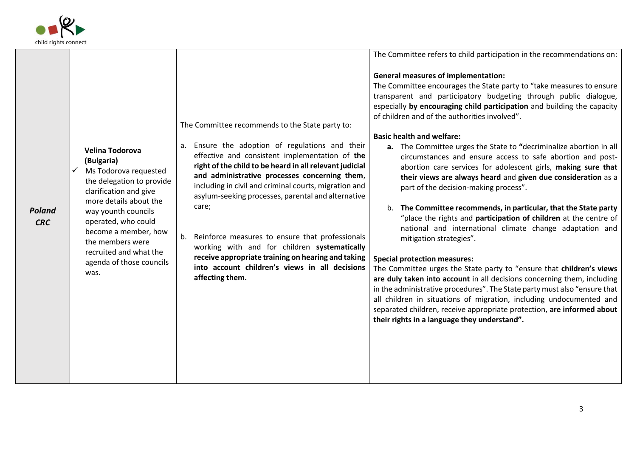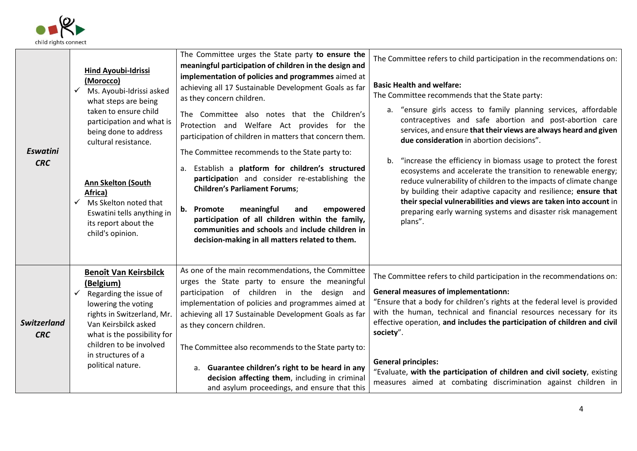

| Eswatini<br><b>CRC</b>    | <b>Hind Ayoubi-Idrissi</b><br>(Morocco)<br>Ms. Ayoubi-Idrissi asked<br>what steps are being<br>taken to ensure child<br>participation and what is<br>being done to address<br>cultural resistance.<br><b>Ann Skelton (South</b><br>Africa)<br>Ms Skelton noted that<br>Eswatini tells anything in<br>its report about the<br>child's opinion. | The Committee urges the State party to ensure the<br>meaningful participation of children in the design and<br>implementation of policies and programmes aimed at<br>achieving all 17 Sustainable Development Goals as far<br>as they concern children.<br>The Committee also notes that the Children's<br>Protection and Welfare Act provides for the<br>participation of children in matters that concern them.<br>The Committee recommends to the State party to:<br>Establish a platform for children's structured<br>а.<br>participation and consider re-establishing the<br><b>Children's Parliament Forums;</b><br>meaningful<br>b. Promote<br>empowered<br>and<br>participation of all children within the family,<br>communities and schools and include children in<br>decision-making in all matters related to them. | The Committee refers to child participation in the recommendations on:<br><b>Basic Health and welfare:</b><br>The Committee recommends that the State party:<br>a. "ensure girls access to family planning services, affordable<br>contraceptives and safe abortion and post-abortion care<br>services, and ensure that their views are always heard and given<br>due consideration in abortion decisions".<br>"increase the efficiency in biomass usage to protect the forest<br>b.<br>ecosystems and accelerate the transition to renewable energy;<br>reduce vulnerability of children to the impacts of climate change<br>by building their adaptive capacity and resilience; ensure that<br>their special vulnerabilities and views are taken into account in<br>preparing early warning systems and disaster risk management<br>plans". |
|---------------------------|-----------------------------------------------------------------------------------------------------------------------------------------------------------------------------------------------------------------------------------------------------------------------------------------------------------------------------------------------|----------------------------------------------------------------------------------------------------------------------------------------------------------------------------------------------------------------------------------------------------------------------------------------------------------------------------------------------------------------------------------------------------------------------------------------------------------------------------------------------------------------------------------------------------------------------------------------------------------------------------------------------------------------------------------------------------------------------------------------------------------------------------------------------------------------------------------|-----------------------------------------------------------------------------------------------------------------------------------------------------------------------------------------------------------------------------------------------------------------------------------------------------------------------------------------------------------------------------------------------------------------------------------------------------------------------------------------------------------------------------------------------------------------------------------------------------------------------------------------------------------------------------------------------------------------------------------------------------------------------------------------------------------------------------------------------|
| Switzerland<br><b>CRC</b> | <b>Benoît Van Keirsbilck</b><br>(Belgium)<br>Regarding the issue of<br>lowering the voting<br>rights in Switzerland, Mr.<br>Van Keirsbilck asked<br>what is the possibility for<br>children to be involved<br>in structures of a<br>political nature.                                                                                         | As one of the main recommendations, the Committee<br>urges the State party to ensure the meaningful<br>participation of children in the design and<br>implementation of policies and programmes aimed at<br>achieving all 17 Sustainable Development Goals as far<br>as they concern children.<br>The Committee also recommends to the State party to:<br>a. Guarantee children's right to be heard in any<br>decision affecting them, including in criminal<br>and asylum proceedings, and ensure that this                                                                                                                                                                                                                                                                                                                     | The Committee refers to child participation in the recommendations on:<br><b>General measures of implementationn:</b><br>"Ensure that a body for children's rights at the federal level is provided<br>with the human, technical and financial resources necessary for its<br>effective operation, and includes the participation of children and civil<br>society".<br><b>General principles:</b><br>"Evaluate, with the participation of children and civil society, existing<br>measures aimed at combating discrimination against children in                                                                                                                                                                                                                                                                                             |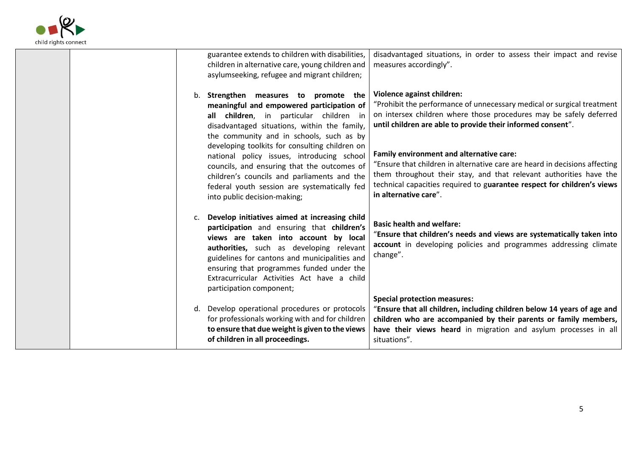

| guarantee extends to children with disabilities,<br>disadvantaged situations, in order to assess their impact and revise<br>children in alternative care, young children and<br>measures accordingly".<br>asylumseeking, refugee and migrant children;                                                                                                                                                                                                                                                                                                                         |
|--------------------------------------------------------------------------------------------------------------------------------------------------------------------------------------------------------------------------------------------------------------------------------------------------------------------------------------------------------------------------------------------------------------------------------------------------------------------------------------------------------------------------------------------------------------------------------|
| Violence against children:<br>Strengthen measures to promote the<br>b.<br>"Prohibit the performance of unnecessary medical or surgical treatment<br>meaningful and empowered participation of<br>on intersex children where those procedures may be safely deferred<br>all children, in particular children in<br>until children are able to provide their informed consent".<br>disadvantaged situations, within the family,<br>the community and in schools, such as by                                                                                                      |
| developing toolkits for consulting children on<br>Family environment and alternative care:<br>national policy issues, introducing school<br>"Ensure that children in alternative care are heard in decisions affecting<br>councils, and ensuring that the outcomes of<br>them throughout their stay, and that relevant authorities have the<br>children's councils and parliaments and the<br>technical capacities required to guarantee respect for children's views<br>federal youth session are systematically fed<br>in alternative care".<br>into public decision-making; |
| Develop initiatives aimed at increasing child<br><b>Basic health and welfare:</b><br>participation and ensuring that children's<br>"Ensure that children's needs and views are systematically taken into<br>views are taken into account by local<br>account in developing policies and programmes addressing climate<br>authorities, such as developing relevant<br>change".<br>guidelines for cantons and municipalities and<br>ensuring that programmes funded under the<br>Extracurricular Activities Act have a child<br>participation component;                         |
| <b>Special protection measures:</b><br>Develop operational procedures or protocols<br>"Ensure that all children, including children below 14 years of age and<br>d.<br>for professionals working with and for children<br>children who are accompanied by their parents or family members,<br>to ensure that due weight is given to the views<br>have their views heard in migration and asylum processes in all<br>of children in all proceedings.<br>situations".                                                                                                            |